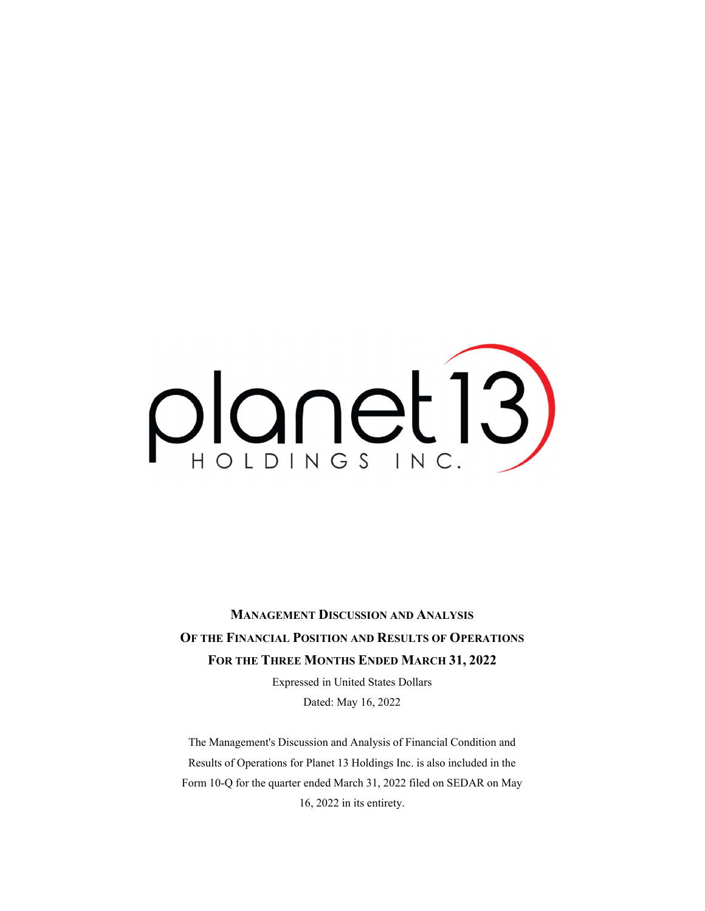# planet13)

MANAGEMENT DISCUSSION AND ANALYSIS OF THE FINANCIAL POSITION AND RESULTS OF OPERATIONS FOR THE THREE MONTHS ENDED MARCH 31, 2022

> Expressed in United States Dollars Dated: May 16, 2022

The Management's Discussion and Analysis of Financial Condition and Results of Operations for Planet 13 Holdings Inc. is also included in the Form 10-Q for the quarter ended March 31, 2022 filed on SEDAR on May 16, 2022 in its entirety.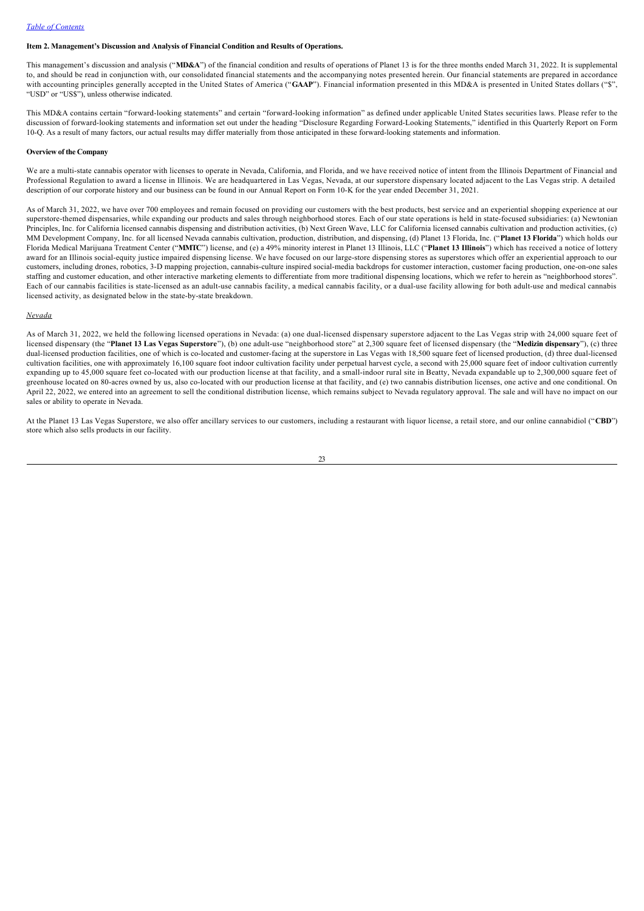# **Item 2. Management's Discussion and Analysis of Financial Condition and Results of Operations.**

This management's discussion and analysis ("**MD&A**") of the financial condition and results of operations of Planet 13 is for the three months ended March 31, 2022. It is supplemental to, and should be read in conjunction with, our consolidated financial statements and the accompanying notes presented herein. Our financial statements are prepared in accordance with accounting principles generally accepted in the United States of America ("GAAP"). Financial information presented in this MD&A is presented in United States dollars ("\$", "USD" or "US\$"), unless otherwise indicated.

This MD&A contains certain "forward-looking statements" and certain "forward-looking information" as defined under applicable United States securities laws. Please refer to the discussion of forward-looking statements and information set out under the heading "Disclosure Regarding Forward-Looking Statements," identified in this Quarterly Report on Form 10-Q. As a result of many factors, our actual results may differ materially from those anticipated in these forward-looking statements and information.

### **Overview of the Company**

We are a multi-state cannabis operator with licenses to operate in Nevada, California, and Florida, and we have received notice of intent from the Illinois Department of Financial and Professional Regulation to award a license in Illinois. We are headquartered in Las Vegas, Nevada, at our superstore dispensary located adjacent to the Las Vegas strip. A detailed description of our corporate history and our business can be found in our Annual Report on Form 10K for the year ended December 31, 2021.

As of March 31, 2022, we have over 700 employees and remain focused on providing our customers with the best products, best service and an experiential shopping experience at our superstore-themed dispensaries, while expanding our products and sales through neighborhood stores. Each of our state operations is held in state-focused subsidiaries: (a) Newtonian Principles, Inc. for California licensed cannabis dispensing and distribution activities, (b) Next Green Wave, LLC for California licensed cannabis cultivation and production activities, (c) MM Development Company, Inc. for all licensed Nevada cannabis cultivation, production, distribution, and dispensing, (d) Planet 13 Florida, Inc. ("**Planet 13 Florida**") which holds our Florida Medical Marijuana Treatment Center ("**MMTC**") license, and (e) a 49% minority interest in Planet 13 Illinois, LLC ("**Planet 13 Illinois**") which has received a notice of lottery award for an Illinois social-equity justice impaired dispensing license. We have focused on our large-store dispensing stores as superstores which offer an experiential approach to our customers, including drones, robotics, 3-D mapping projection, cannabis-culture inspired social-media backdrops for customer interaction, customer facing production, one-on-one sales staffing and customer education, and other interactive marketing elements to differentiate from more traditional dispensing locations, which we refer to herein as "neighborhood stores". Each of our cannabis facilities is state-licensed as an adult-use cannabis facility, a medical cannabis facility, or a dual-use facility allowing for both adult-use and medical cannabis licensed activity, as designated below in the state-by-state breakdown.

### *Nevada*

As of March 31, 2022, we held the following licensed operations in Nevada: (a) one dual-licensed dispensary superstore adjacent to the Las Vegas strip with 24,000 square feet of licensed dispensary (the "**Planet 13 Las Vegas Superstore**"), (b) one adult-use "neighborhood store" at 2,300 square feet of licensed dispensary (the "**Medizin dispensary**"), (c) three dual-licensed production facilities, one of which is co-located and customer-facing at the superstore in Las Vegas with 18,500 square feet of licensed production, (d) three dual-licensed cultivation facilities, one with approximately 16,100 square foot indoor cultivation facility under perpetual harvest cycle, a second with 25,000 square feet of indoor cultivation currently expanding up to 45,000 square feet co-located with our production license at that facility, and a small-indoor rural site in Beatty, Nevada expandable up to 2,300,000 square feet of greenhouse located on 80-acres owned by us, also co-located with our production license at that facility, and (e) two cannabis distribution licenses, one active and one conditional. On April 22, 2022, we entered into an agreement to sell the conditional distribution license, which remains subject to Nevada regulatory approval. The sale and will have no impact on our sales or ability to operate in Nevada.

At the Planet 13 Las Vegas Superstore, we also offer ancillary services to our customers, including a restaurant with liquor license, a retail store, and our online cannabidiol ("**CBD**") store which also sells products in our facility.

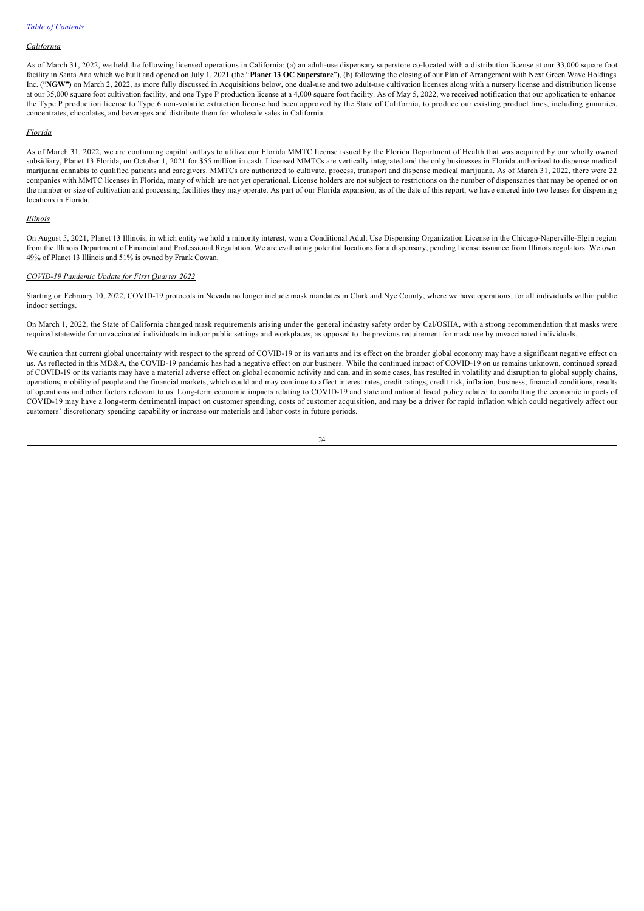# *California*

As of March 31, 2022, we held the following licensed operations in California: (a) an adult-use dispensary superstore co-located with a distribution license at our 33,000 square foot facility in Santa Ana which we built and opened on July 1, 2021 (the "**Planet 13 OC Superstore**"), (b) following the closing of our Plan of Arrangement with Next Green Wave Holdings Inc. ("NGW") on March 2, 2022, as more fully discussed in Acquisitions below, one dual-use and two adult-use cultivation licenses along with a nursery license and distribution license at our 35,000 square foot cultivation facility, and one Type P production license at a 4,000 square foot facility. As of May 5, 2022, we received notification that our application to enhance the Type P production license to Type 6 nonvolatile extraction license had been approved by the State of California, to produce our existing product lines, including gummies, concentrates, chocolates, and beverages and distribute them for wholesale sales in California.

### *Florida*

As of March 31, 2022, we are continuing capital outlays to utilize our Florida MMTC license issued by the Florida Department of Health that was acquired by our wholly owned subsidiary, Planet 13 Florida, on October 1, 2021 for \$55 million in cash. Licensed MMTCs are vertically integrated and the only businesses in Florida authorized to dispense medical marijuana cannabis to qualified patients and caregivers. MMTCs are authorized to cultivate, process, transport and dispense medical marijuana. As of March 31, 2022, there were 22 companies with MMTC licenses in Florida, many of which are not yet operational. License holders are not subject to restrictions on the number of dispensaries that may be opened or on the number or size of cultivation and processing facilities they may operate. As part of our Florida expansion, as of the date of this report, we have entered into two leases for dispensing locations in Florida.

### *Illinois*

On August 5, 2021, Planet 13 Illinois, in which entity we hold a minority interest, won a Conditional Adult Use Dispensing Organization License in the Chicago-Naperville-Elgin region from the Illinois Department of Financial and Professional Regulation. We are evaluating potential locations for a dispensary, pending license issuance from Illinois regulators. We own 49% of Planet 13 Illinois and 51% is owned by Frank Cowan.

# *COVID19 Pandemic Update for First Quarter 2022*

Starting on February 10, 2022, COVID-19 protocols in Nevada no longer include mask mandates in Clark and Nye County, where we have operations, for all individuals within public indoor settings.

On March 1, 2022, the State of California changed mask requirements arising under the general industry safety order by Cal/OSHA, with a strong recommendation that masks were required statewide for unvaccinated individuals in indoor public settings and workplaces, as opposed to the previous requirement for mask use by unvaccinated individuals.

We caution that current global uncertainty with respect to the spread of COVID-19 or its variants and its effect on the broader global economy may have a significant negative effect on us. As reflected in this MD&A, the COVID-19 pandemic has had a negative effect on our business. While the continued impact of COVID-19 on us remains unknown, continued spread of COVID19 or its variants may have a material adverse effect on global economic activity and can, and in some cases, has resulted in volatility and disruption to global supply chains, operations, mobility of people and the financial markets, which could and may continue to affect interest rates, credit ratings, credit risk, inflation, business, financial conditions, results of operations and other factors relevant to us. Long-term economic impacts relating to COVID-19 and state and national fiscal policy related to combatting the economic impacts of COVID-19 may have a long-term detrimental impact on customer spending, costs of customer acquisition, and may be a driver for rapid inflation which could negatively affect our customers' discretionary spending capability or increase our materials and labor costs in future periods.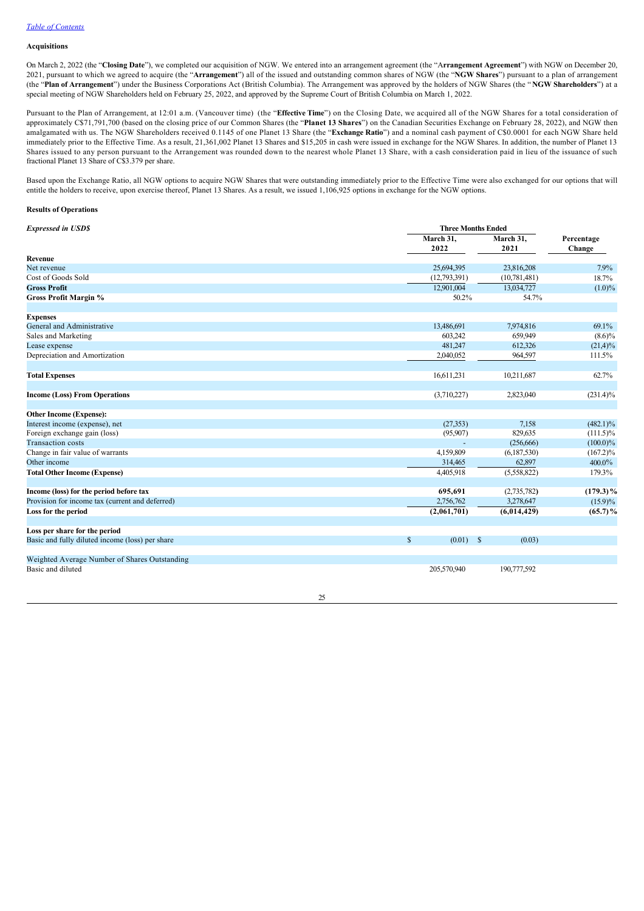# **Acquisitions**

On March 2, 2022 (the "**Closing Date**"), we completed our acquisition of NGW. We entered into an arrangement agreement (the "A**rrangement Agreement**") with NGW on December 20, 2021, pursuant to which we agreed to acquire (the "**Arrangement**") all of the issued and outstanding common shares of NGW (the "**NGW Shares**") pursuant to a plan of arrangement (the "**Plan of Arrangement**") under the Business Corporations Act (British Columbia). The Arrangement was approved by the holders of NGW Shares (the " **NGW Shareholders**") at a special meeting of NGW Shareholders held on February 25, 2022, and approved by the Supreme Court of British Columbia on March 1, 2022.

Pursuant to the Plan of Arrangement, at 12:01 a.m. (Vancouver time) (the "**Effective Time**") on the Closing Date, we acquired all of the NGW Shares for a total consideration of approximately C\$71,791,700 (based on the closing price of our Common Shares (the "**Planet 13 Shares**") on the Canadian Securities Exchange on February 28, 2022), and NGW then amalgamated with us. The NGW Shareholders received 0.1145 of one Planet 13 Share (the "**Exchange Ratio**") and a nominal cash payment of C\$0.0001 for each NGW Share held immediately prior to the Effective Time. As a result, 21,361,002 Planet 13 Shares and \$15,205 in cash were issued in exchange for the NGW Shares. In addition, the number of Planet 13 Shares issued to any person pursuant to the Arrangement was rounded down to the nearest whole Planet 13 Share, with a cash consideration paid in lieu of the issuance of such fractional Planet 13 Share of C\$3.379 per share.

Based upon the Exchange Ratio, all NGW options to acquire NGW Shares that were outstanding immediately prior to the Effective Time were also exchanged for our options that will entitle the holders to receive, upon exercise thereof, Planet 13 Shares. As a result, we issued 1,106,925 options in exchange for the NGW options.

## **Results of Operations**

| <b>Expressed in USD\$</b>                       |                             | <b>Three Months Ended</b> |                      |  |  |
|-------------------------------------------------|-----------------------------|---------------------------|----------------------|--|--|
|                                                 | March 31,<br>2022           | March 31,<br>2021         | Percentage<br>Change |  |  |
| Revenue                                         |                             |                           |                      |  |  |
| Net revenue                                     | 25.694.395                  | 23,816,208                | 7.9%                 |  |  |
| Cost of Goods Sold                              | (12,793,391)                | (10, 781, 481)            | 18.7%                |  |  |
| <b>Gross Profit</b>                             | 12.901.004                  | 13,034,727                | $(1.0)\%$            |  |  |
| <b>Gross Profit Margin %</b>                    | 50.2%                       | 54.7%                     |                      |  |  |
| <b>Expenses</b>                                 |                             |                           |                      |  |  |
| General and Administrative                      | 13,486,691                  | 7,974,816                 | 69.1%                |  |  |
| Sales and Marketing                             | 603,242                     | 659,949                   | $(8.6)\%$            |  |  |
| Lease expense                                   | 481,247                     | 612,326                   | $(21,4)\%$           |  |  |
| Depreciation and Amortization                   | 2,040,052                   | 964,597                   | 111.5%               |  |  |
| <b>Total Expenses</b>                           | 16,611,231                  | 10,211,687                | 62.7%                |  |  |
| <b>Income (Loss) From Operations</b>            | (3,710,227)                 | 2,823,040                 | $(231.4)\%$          |  |  |
| <b>Other Income (Expense):</b>                  |                             |                           |                      |  |  |
| Interest income (expense), net                  | (27, 353)                   | 7,158                     | $(482.1)\%$          |  |  |
| Foreign exchange gain (loss)                    | (95,907)                    | 829,635                   | $(111.5)\%$          |  |  |
| <b>Transaction</b> costs                        |                             | (256, 666)                | $(100.0)\%$          |  |  |
| Change in fair value of warrants                | 4,159,809                   | (6,187,530)               | $(167.2)\%$          |  |  |
| Other income                                    | 314,465                     | 62,897                    | 400.0%               |  |  |
| <b>Total Other Income (Expense)</b>             | 4,405,918                   | (5,558,822)               | 179.3%               |  |  |
| Income (loss) for the period before tax         | 695,691                     | (2,735,782)               | $(179.3)\%$          |  |  |
| Provision for income tax (current and deferred) | 2,756,762                   | 3,278,647                 | $(15.9)\%$           |  |  |
| Loss for the period                             | (2,061,701)                 | (6,014,429)               | $(65.7)\%$           |  |  |
| Loss per share for the period                   |                             |                           |                      |  |  |
| Basic and fully diluted income (loss) per share | $\mathbb{S}$<br>$(0.01)$ \$ | (0.03)                    |                      |  |  |
| Weighted Average Number of Shares Outstanding   |                             |                           |                      |  |  |
| Basic and diluted                               | 205,570,940                 | 190,777,592               |                      |  |  |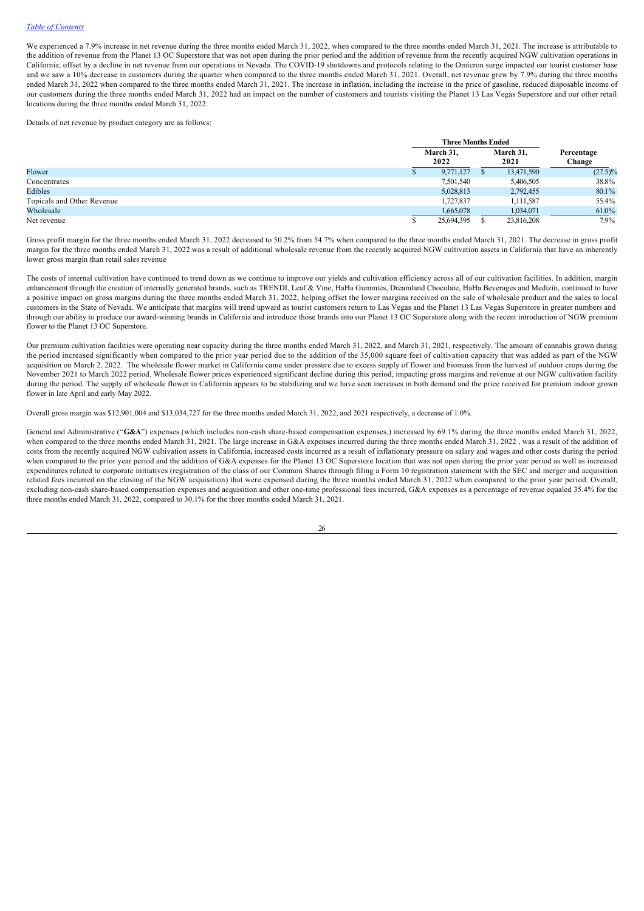We experienced a 7.9% increase in net revenue during the three months ended March 31, 2022, when compared to the three months ended March 31, 2021. The increase is attributable to the addition of revenue from the Planet 13 OC Superstore that was not open during the prior period and the addition of revenue from the recently acquired NGW cultivation operations in California, offset by a decline in net revenue from our operations in Nevada. The COVID-19 shutdowns and protocols relating to the Omicron surge impacted our tourist customer base and we saw a 10% decrease in customers during the quarter when compared to the three months ended March 31, 2021. Overall, net revenue grew by 7.9% during the three months ended March 31, 2022 when compared to the three months ended March 31, 2021. The increase in inflation, including the increase in the price of gasoline, reduced disposable income of our customers during the three months ended March 31, 2022 had an impact on the number of customers and tourists visiting the Planet 13 Las Vegas Superstore and our other retail locations during the three months ended March 31, 2022.

Details of net revenue by product category are as follows:

|                            | <b>Three Months Ended</b> |  |                   |                      |
|----------------------------|---------------------------|--|-------------------|----------------------|
|                            | March 31,<br>2022         |  | March 31,<br>2021 | Percentage<br>Change |
| Flower                     | 9,771,127                 |  | 13,471,590        | $(27.5)\%$           |
| Concentrates               | 7,501,540                 |  | 5,406,505         | 38.8%                |
| Edibles                    | 5,028,813                 |  | 2,792,455         | 80.1%                |
| Topicals and Other Revenue | 1,727,837                 |  | 1,111,587         | 55.4%                |
| Wholesale                  | 1,665,078                 |  | 1,034,071         | 61.0%                |
| Net revenue                | 25,694,395                |  | 23,816,208        | 7.9%                 |

Gross profit margin for the three months ended March 31, 2022 decreased to 50.2% from 54.7% when compared to the three months ended March 31, 2021. The decrease in gross profit margin for the three months ended March 31, 2022 was a result of additional wholesale revenue from the recently acquired NGW cultivation assets in California that have an inherently lower gross margin than retail sales revenue

The costs of internal cultivation have continued to trend down as we continue to improve our yields and cultivation efficiency across all of our cultivation facilities. In addition, margin enhancement through the creation of internally generated brands, such as TRENDI, Leaf & Vine, HaHa Gummies, Dreamland Chocolate, HaHa Beverages and Medizin, continued to have a positive impact on gross margins during the three months ended March 31, 2022, helping offset the lower margins received on the sale of wholesale product and the sales to local customers in the State of Nevada. We anticipate that margins will trend upward as tourist customers return to Las Vegas and the Planet 13 Las Vegas Superstore in greater numbers and through our ability to produce our awardwinning brands in California and introduce those brands into our Planet 13 OC Superstore along with the recent introduction of NGW premium flower to the Planet 13 OC Superstore.

Our premium cultivation facilities were operating near capacity during the three months ended March 31, 2022, and March 31, 2021, respectively. The amount of cannabis grown during the period increased significantly when compared to the prior year period due to the addition of the 35,000 square feet of cultivation capacity that was added as part of the NGW acquisition on March 2, 2022. The wholesale flower market in California came under pressure due to excess supply of flower and biomass from the harvest of outdoor crops during the November 2021 to March 2022 period. Wholesale flower prices experienced significant decline during this period, impacting gross margins and revenue at our NGW cultivation facility during the period. The supply of wholesale flower in California appears to be stabilizing and we have seen increases in both demand and the price received for premium indoor grown flower in late April and early May 2022.

Overall gross margin was \$12,901,004 and \$13,034,727 for the three months ended March 31, 2022, and 2021 respectively, a decrease of 1.0%.

General and Administrative ("G&A") expenses (which includes non-cash share-based compensation expenses,) increased by 69.1% during the three months ended March 31, 2022, when compared to the three months ended March 31, 2021. The large increase in G&A expenses incurred during the three months ended March 31, 2022, was a result of the addition of costs from the recently acquired NGW cultivation assets in California, increased costs incurred as a result of inflationary pressure on salary and wages and other costs during the period when compared to the prior year period and the addition of G&A expenses for the Planet 13 OC Superstore location that was not open during the prior year period as well as increased expenditures related to corporate initiatives (registration of the class of our Common Shares through filing a Form 10 registration statement with the SEC and merger and acquisition related fees incurred on the closing of the NGW acquisition) that were expensed during the three months ended March 31, 2022 when compared to the prior year period. Overall, excluding non-cash share-based compensation expenses and acquisition and other one-time professional fees incurred, G&A expenses as a percentage of revenue equaled 35.4% for the three months ended March 31, 2022, compared to 30.1% for the three months ended March 31, 2021.

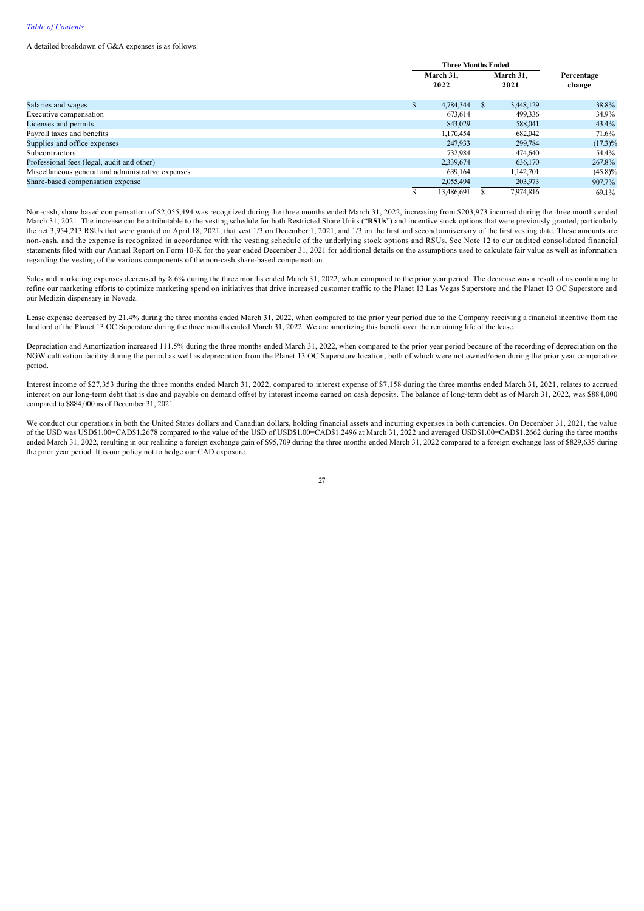A detailed breakdown of G&A expenses is as follows:

|                                                   |   | <b>Three Months Ended</b> |    |                   |                      |
|---------------------------------------------------|---|---------------------------|----|-------------------|----------------------|
|                                                   |   | March 31.<br>2022         |    | March 31.<br>2021 | Percentage<br>change |
| Salaries and wages                                | S | 4,784,344                 | \$ | 3.448.129         | 38.8%                |
| Executive compensation                            |   | 673.614                   |    | 499,336           | 34.9%                |
| Licenses and permits                              |   | 843,029                   |    | 588,041           | 43.4%                |
| Payroll taxes and benefits                        |   | 1,170,454                 |    | 682,042           | 71.6%                |
| Supplies and office expenses                      |   | 247.933                   |    | 299,784           | $(17.3)\%$           |
| Subcontractors                                    |   | 732.984                   |    | 474,640           | 54.4%                |
| Professional fees (legal, audit and other)        |   | 2,339,674                 |    | 636,170           | 267.8%               |
| Miscellaneous general and administrative expenses |   | 639,164                   |    | 1,142,701         | $(45.8)\%$           |
| Share-based compensation expense                  |   | 2,055,494                 |    | 203,973           | 907.7%               |
|                                                   |   | 13,486,691                |    | 7.974.816         | 69.1%                |

Non-cash, share based compensation of \$2,055,494 was recognized during the three months ended March 31, 2022, increasing from \$203,973 incurred during the three months ended March 31, 2021. The increase can be attributable to the vesting schedule for both Restricted Share Units ("**RSUs**") and incentive stock options that were previously granted, particularly the net 3,954,213 RSUs that were granted on April 18, 2021, that vest 1/3 on December 1, 2021, and 1/3 on the first and second anniversary of the first vesting date. These amounts are noncash, and the expense is recognized in accordance with the vesting schedule of the underlying stock options and RSUs. See Note 12 to our audited consolidated financial statements filed with our Annual Report on Form 10-K for the year ended December 31, 2021 for additional details on the assumptions used to calculate fair value as well as information regarding the vesting of the various components of the non-cash share-based compensation.

Sales and marketing expenses decreased by 8.6% during the three months ended March 31, 2022, when compared to the prior year period. The decrease was a result of us continuing to refine our marketing efforts to optimize marketing spend on initiatives that drive increased customer traffic to the Planet 13 Las Vegas Superstore and the Planet 13 OC Superstore and our Medizin dispensary in Nevada.

Lease expense decreased by 21.4% during the three months ended March 31, 2022, when compared to the prior year period due to the Company receiving a financial incentive from the landlord of the Planet 13 OC Superstore during the three months ended March 31, 2022. We are amortizing this benefit over the remaining life of the lease.

Depreciation and Amortization increased 111.5% during the three months ended March 31, 2022, when compared to the prior year period because of the recording of depreciation on the NGW cultivation facility during the period as well as depreciation from the Planet 13 OC Superstore location, both of which were not owned/open during the prior year comparative period.

Interest income of \$27,353 during the three months ended March 31, 2022, compared to interest expense of \$7,158 during the three months ended March 31, 2021, relates to accrued interest on our long-term debt that is due and payable on demand offset by interest income earned on cash deposits. The balance of long-term debt as of March 31, 2022, was \$884,000 compared to \$884,000 as of December 31, 2021.

We conduct our operations in both the United States dollars and Canadian dollars, holding financial assets and incurring expenses in both currencies. On December 31, 2021, the value of the USD was USD\$1.00=CAD\$1.2678 compared to the value of the USD of USD\$1.00=CAD\$1.2496 at March 31, 2022 and averaged USD\$1.00=CAD\$1.2662 during the three months ended March 31, 2022, resulting in our realizing a foreign exchange gain of \$95,709 during the three months ended March 31, 2022 compared to a foreign exchange loss of \$829,635 during the prior year period. It is our policy not to hedge our CAD exposure.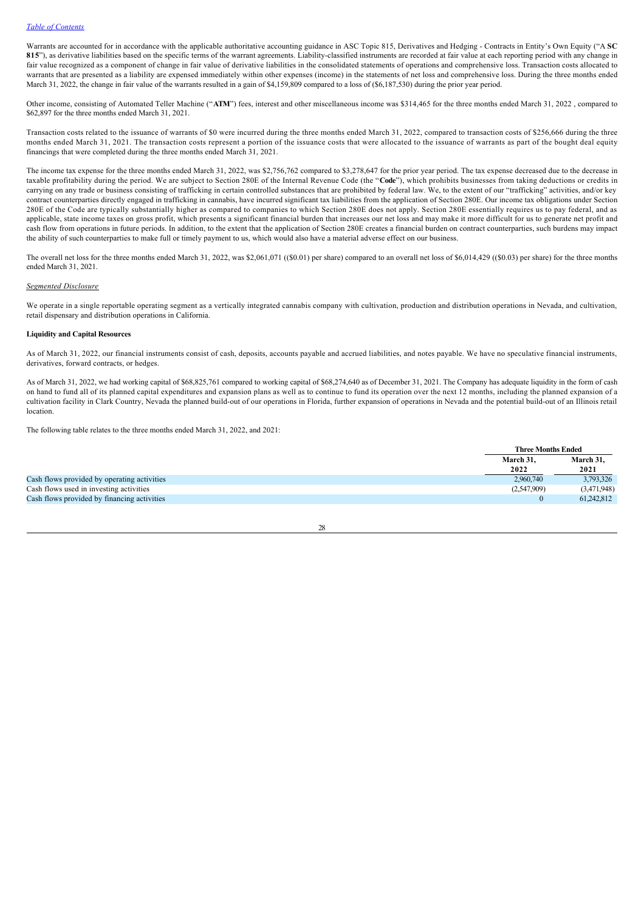### *Table of Contents*

Warrants are accounted for in accordance with the applicable authoritative accounting guidance in ASC Topic 815, Derivatives and Hedging - Contracts in Entity's Own Equity ("A SC 815"), as derivative liabilities based on the specific terms of the warrant agreements. Liability-classified instruments are recorded at fair value at each reporting period with any change in fair value recognized as a component of change in fair value of derivative liabilities in the consolidated statements of operations and comprehensive loss. Transaction costs allocated to warrants that are presented as a liability are expensed immediately within other expenses (income) in the statements of net loss and comprehensive loss. During the three months ended March 31, 2022, the change in fair value of the warrants resulted in a gain of \$4,159,809 compared to a loss of (\$6,187,530) during the prior year period.

Other income, consisting of Automated Teller Machine ("**ATM**") fees, interest and other miscellaneous income was \$314,465 for the three months ended March 31, 2022 , compared to \$62,897 for the three months ended March 31, 2021.

Transaction costs related to the issuance of warrants of \$0 were incurred during the three months ended March 31, 2022, compared to transaction costs of \$256,666 during the three months ended March 31, 2021. The transaction costs represent a portion of the issuance costs that were allocated to the issuance of warrants as part of the bought deal equity financings that were completed during the three months ended March 31, 2021.

The income tax expense for the three months ended March 31, 2022, was \$2,756,762 compared to \$3,278,647 for the prior year period. The tax expense decreased due to the decrease in taxable profitability during the period. We are subject to Section 280E of the Internal Revenue Code (the "**Code**"), which prohibits businesses from taking deductions or credits in carrying on any trade or business consisting of trafficking in certain controlled substances that are prohibited by federal law. We, to the extent of our "trafficking" activities, and/or key contract counterparties directly engaged in trafficking in cannabis, have incurred significant tax liabilities from the application of Section 280E. Our income tax obligations under Section 280E of the Code are typically substantially higher as compared to companies to which Section 280E does not apply. Section 280E essentially requires us to pay federal, and as applicable, state income taxes on gross profit, which presents a significant financial burden that increases our net loss and may make it more difficult for us to generate net profit and cash flow from operations in future periods. In addition, to the extent that the application of Section 280E creates a financial burden on contract counterparties, such burdens may impact the ability of such counterparties to make full or timely payment to us, which would also have a material adverse effect on our business.

The overall net loss for the three months ended March 31, 2022, was \$2,061,071 ((\$0.01) per share) compared to an overall net loss of \$6,014,429 ((\$0.03) per share) for the three months ended March 31, 2021.

# *Segmented Disclosure*

We operate in a single reportable operating segment as a vertically integrated cannabis company with cultivation, production and distribution operations in Nevada, and cultivation, retail dispensary and distribution operations in California.

### **Liquidity and Capital Resources**

As of March 31, 2022, our financial instruments consist of cash, deposits, accounts payable and accrued liabilities, and notes payable. We have no speculative financial instruments, derivatives, forward contracts, or hedges.

As of March 31, 2022, we had working capital of \$68,825,761 compared to working capital of \$68,274,640 as of December 31, 2021. The Company has adequate liquidity in the form of cash on hand to fund all of its planned capital expenditures and expansion plans as well as to continue to fund its operation over the next 12 months, including the planned expansion of a cultivation facility in Clark Country, Nevada the planned build-out of our operations in Florida, further expansion of operations in Nevada and the potential build-out of an Illinois retail location.

The following table relates to the three months ended March 31, 2022, and 2021:

|                                             | <b>Three Months Ended</b> |                   |  |
|---------------------------------------------|---------------------------|-------------------|--|
|                                             | March 31.<br>2022         | March 31.<br>2021 |  |
|                                             |                           |                   |  |
| Cash flows provided by operating activities | 2,960,740                 | 3,793,326         |  |
| Cash flows used in investing activities     | (2,547,909)               | (3,471,948)       |  |
| Cash flows provided by financing activities |                           | 61.242,812        |  |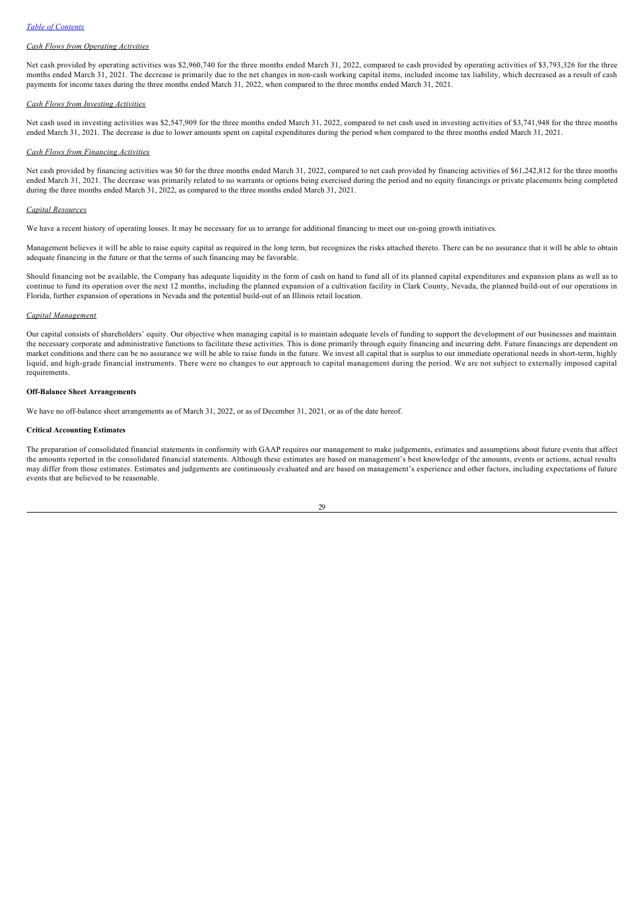## *Cash Flows from Operating Activities*

Net cash provided by operating activities was \$2,960,740 for the three months ended March 31, 2022, compared to cash provided by operating activities of \$3,793,326 for the three months ended March 31, 2021. The decrease is primarily due to the net changes in non-cash working capital items, included income tax liability, which decreased as a result of cash payments for income taxes during the three months ended March 31, 2022, when compared to the three months ended March 31, 2021.

# *Cash Flows from Investing Activities*

Net cash used in investing activities was \$2,547,909 for the three months ended March 31, 2022, compared to net cash used in investing activities of \$3,741,948 for the three months ended March 31, 2021. The decrease is due to lower amounts spent on capital expenditures during the period when compared to the three months ended March 31, 2021.

# *Cash Flows from Financing Activities*

Net cash provided by financing activities was \$0 for the three months ended March 31, 2022, compared to net cash provided by financing activities of \$61,242,812 for the three months ended March 31, 2021. The decrease was primarily related to no warrants or options being exercised during the period and no equity financings or private placements being completed during the three months ended March 31, 2022, as compared to the three months ended March 31, 2021.

# *Capital Resources*

We have a recent history of operating losses. It may be necessary for us to arrange for additional financing to meet our on-going growth initiatives.

Management believes it will be able to raise equity capital as required in the long term, but recognizes the risks attached thereto. There can be no assurance that it will be able to obtain adequate financing in the future or that the terms of such financing may be favorable.

Should financing not be available, the Company has adequate liquidity in the form of cash on hand to fund all of its planned capital expenditures and expansion plans as well as to continue to fund its operation over the next 12 months, including the planned expansion of a cultivation facility in Clark County, Nevada, the planned build-out of our operations in Florida, further expansion of operations in Nevada and the potential build-out of an Illinois retail location.

### *Capital Management*

Our capital consists of shareholders' equity. Our objective when managing capital is to maintain adequate levels of funding to support the development of our businesses and maintain the necessary corporate and administrative functions to facilitate these activities. This is done primarily through equity financing and incurring debt. Future financings are dependent on market conditions and there can be no assurance we will be able to raise funds in the future. We invest all capital that is surplus to our immediate operational needs in short-term, highly liquid, and high-grade financial instruments. There were no changes to our approach to capital management during the period. We are not subject to externally imposed capital requirements.

### **Off-Balance Sheet Arrangements**

We have no off-balance sheet arrangements as of March 31, 2022, or as of December 31, 2021, or as of the date hereof.

# **Critical Accounting Estimates**

The preparation of consolidated financial statements in conformity with GAAP requires our management to make judgements, estimates and assumptions about future events that affect the amounts reported in the consolidated financial statements. Although these estimates are based on management's best knowledge of the amounts, events or actions, actual results may differ from those estimates. Estimates and judgements are continuously evaluated and are based on management's experience and other factors, including expectations of future events that are believed to be reasonable.